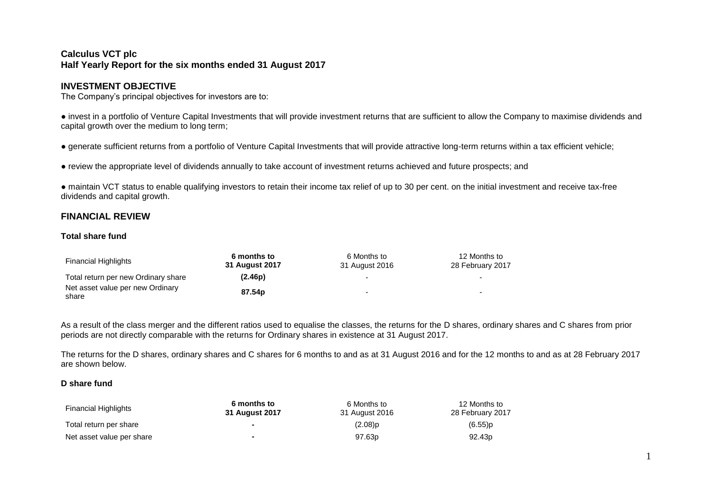# **Calculus VCT plc Half Yearly Report for the six months ended 31 August 2017**

# **INVESTMENT OBJECTIVE**

The Company's principal objectives for investors are to:

● invest in a portfolio of Venture Capital Investments that will provide investment returns that are sufficient to allow the Company to maximise dividends and capital growth over the medium to long term;

● generate sufficient returns from a portfolio of Venture Capital Investments that will provide attractive long-term returns within a tax efficient vehicle;

● review the appropriate level of dividends annually to take account of investment returns achieved and future prospects; and

● maintain VCT status to enable qualifying investors to retain their income tax relief of up to 30 per cent. on the initial investment and receive tax-free dividends and capital growth.

# **FINANCIAL REVIEW**

### **Total share fund**

| <b>Financial Highlights</b>               | 6 months to<br>31 August 2017 | 6 Months to<br>31 August 2016 | 12 Months to<br>28 February 2017 |  |
|-------------------------------------------|-------------------------------|-------------------------------|----------------------------------|--|
| Total return per new Ordinary share       | (2.46p)                       |                               | $\overline{\phantom{a}}$         |  |
| Net asset value per new Ordinary<br>share | 87.54 <sub>p</sub>            |                               | -                                |  |

As a result of the class merger and the different ratios used to equalise the classes, the returns for the D shares, ordinary shares and C shares from prior periods are not directly comparable with the returns for Ordinary shares in existence at 31 August 2017.

The returns for the D shares, ordinary shares and C shares for 6 months to and as at 31 August 2016 and for the 12 months to and as at 28 February 2017 are shown below.

#### **D share fund**

| <b>Financial Highlights</b> | 6 months to<br>31 August 2017 | 6 Months to<br>31 August 2016 | 12 Months to<br>28 February 2017 |
|-----------------------------|-------------------------------|-------------------------------|----------------------------------|
| Total return per share      |                               | (2.08)p                       | $(6.55)$ p                       |
| Net asset value per share   | ж.                            | 97.63 <sub>p</sub>            | 92.43 <sub>p</sub>               |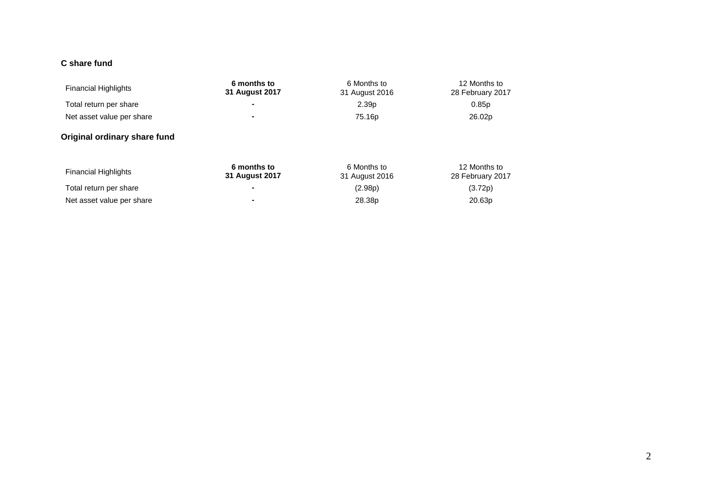# **C share fund**

| <b>Financial Highlights</b>  | 6 months to<br><b>31 August 2017</b> | 6 Months to<br>31 August 2016 | 12 Months to<br>28 February 2017 |
|------------------------------|--------------------------------------|-------------------------------|----------------------------------|
| Total return per share       | ۰                                    | 2.39 <sub>p</sub>             | 0.85p                            |
| Net asset value per share    |                                      | 75.16p                        | 26.02p                           |
| Original ordinary share fund |                                      |                               |                                  |
| <b>Financial Highlights</b>  | 6 months to<br><b>31 August 2017</b> | 6 Months to<br>31 August 2016 | 12 Months to<br>28 February 2017 |
| Total return per share       | ۰                                    | (2.98p)                       | (3.72p)                          |
| Net asset value per share    |                                      | 28.38p                        | 20.63p                           |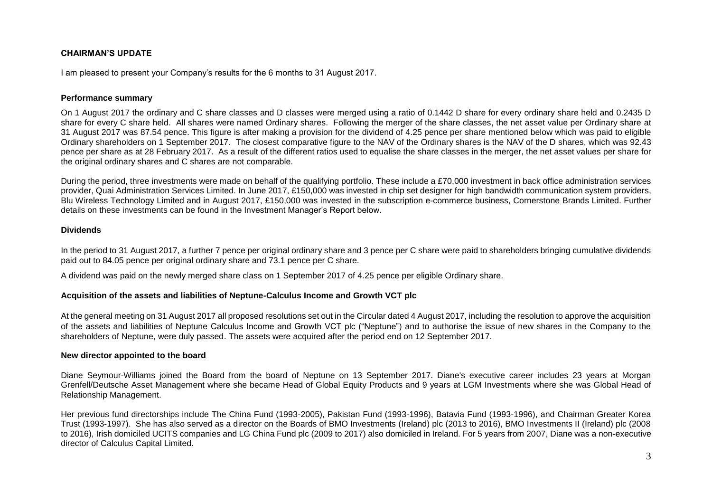# **CHAIRMAN'S UPDATE**

I am pleased to present your Company's results for the 6 months to 31 August 2017.

### **Performance summary**

On 1 August 2017 the ordinary and C share classes and D classes were merged using a ratio of 0.1442 D share for every ordinary share held and 0.2435 D share for every C share held. All shares were named Ordinary shares. Following the merger of the share classes, the net asset value per Ordinary share at 31 August 2017 was 87.54 pence. This figure is after making a provision for the dividend of 4.25 pence per share mentioned below which was paid to eligible Ordinary shareholders on 1 September 2017. The closest comparative figure to the NAV of the Ordinary shares is the NAV of the D shares, which was 92.43 pence per share as at 28 February 2017. As a result of the different ratios used to equalise the share classes in the merger, the net asset values per share for the original ordinary shares and C shares are not comparable.

During the period, three investments were made on behalf of the qualifying portfolio. These include a £70,000 investment in back office administration services provider, Quai Administration Services Limited. In June 2017, £150,000 was invested in chip set designer for high bandwidth communication system providers, Blu Wireless Technology Limited and in August 2017, £150,000 was invested in the subscription e-commerce business, Cornerstone Brands Limited. Further details on these investments can be found in the Investment Manager's Report below.

# **Dividends**

In the period to 31 August 2017, a further 7 pence per original ordinary share and 3 pence per C share were paid to shareholders bringing cumulative dividends paid out to 84.05 pence per original ordinary share and 73.1 pence per C share.

A dividend was paid on the newly merged share class on 1 September 2017 of 4.25 pence per eligible Ordinary share.

# **Acquisition of the assets and liabilities of Neptune-Calculus Income and Growth VCT plc**

At the general meeting on 31 August 2017 all proposed resolutions set out in the Circular dated 4 August 2017, including the resolution to approve the acquisition of the assets and liabilities of Neptune Calculus Income and Growth VCT plc ("Neptune") and to authorise the issue of new shares in the Company to the shareholders of Neptune, were duly passed. The assets were acquired after the period end on 12 September 2017.

# **New director appointed to the board**

Diane Seymour-Williams joined the Board from the board of Neptune on 13 September 2017. Diane's executive career includes 23 years at Morgan Grenfell/Deutsche Asset Management where she became Head of Global Equity Products and 9 years at LGM Investments where she was Global Head of Relationship Management.

Her previous fund directorships include The China Fund (1993-2005), Pakistan Fund (1993-1996), Batavia Fund (1993-1996), and Chairman Greater Korea Trust (1993-1997). She has also served as a director on the Boards of BMO Investments (Ireland) plc (2013 to 2016), BMO Investments II (Ireland) plc (2008 to 2016), Irish domiciled UCITS companies and LG China Fund plc (2009 to 2017) also domiciled in Ireland. For 5 years from 2007, Diane was a non-executive director of Calculus Capital Limited.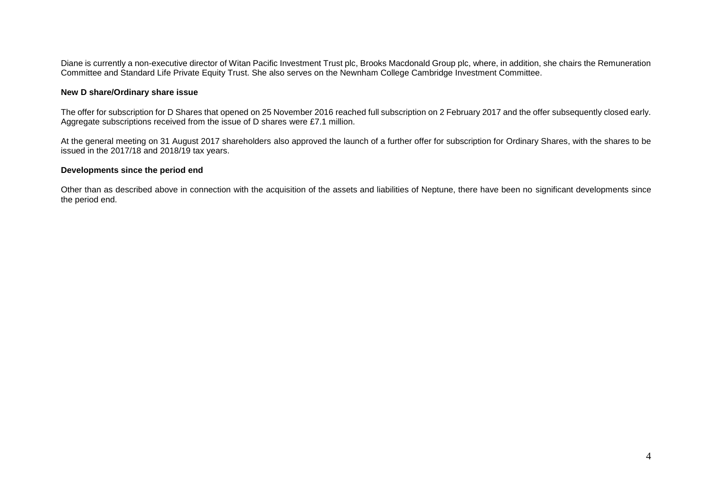Diane is currently a non-executive director of Witan Pacific Investment Trust plc, Brooks Macdonald Group plc, where, in addition, she chairs the Remuneration Committee and Standard Life Private Equity Trust. She also serves on the Newnham College Cambridge Investment Committee.

### **New D share/Ordinary share issue**

The offer for subscription for D Shares that opened on 25 November 2016 reached full subscription on 2 February 2017 and the offer subsequently closed early. Aggregate subscriptions received from the issue of D shares were £7.1 million.

At the general meeting on 31 August 2017 shareholders also approved the launch of a further offer for subscription for Ordinary Shares, with the shares to be issued in the 2017/18 and 2018/19 tax years.

#### **Developments since the period end**

Other than as described above in connection with the acquisition of the assets and liabilities of Neptune, there have been no significant developments since the period end.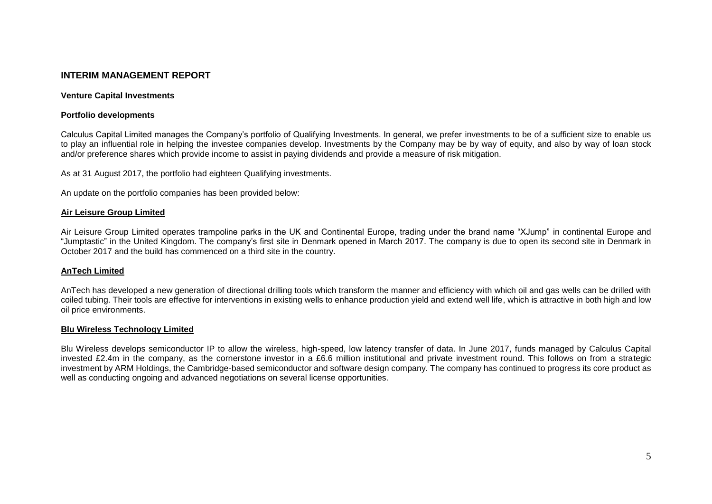# **INTERIM MANAGEMENT REPORT**

#### **Venture Capital Investments**

#### **Portfolio developments**

Calculus Capital Limited manages the Company's portfolio of Qualifying Investments. In general, we prefer investments to be of a sufficient size to enable us to play an influential role in helping the investee companies develop. Investments by the Company may be by way of equity, and also by way of loan stock and/or preference shares which provide income to assist in paying dividends and provide a measure of risk mitigation.

As at 31 August 2017, the portfolio had eighteen Qualifying investments.

An update on the portfolio companies has been provided below:

#### **Air Leisure Group Limited**

Air Leisure Group Limited operates trampoline parks in the UK and Continental Europe, trading under the brand name "XJump" in continental Europe and "Jumptastic" in the United Kingdom. The company's first site in Denmark opened in March 2017. The company is due to open its second site in Denmark in October 2017 and the build has commenced on a third site in the country.

#### **AnTech Limited**

AnTech has developed a new generation of directional drilling tools which transform the manner and efficiency with which oil and gas wells can be drilled with coiled tubing. Their tools are effective for interventions in existing wells to enhance production yield and extend well life, which is attractive in both high and low oil price environments.

#### **Blu Wireless Technology Limited**

Blu Wireless develops semiconductor IP to allow the wireless, high-speed, low latency transfer of data. In June 2017, funds managed by Calculus Capital invested £2.4m in the company, as the cornerstone investor in a £6.6 million institutional and private investment round. This follows on from a strategic investment by ARM Holdings, the Cambridge-based semiconductor and software design company. The company has continued to progress its core product as well as conducting ongoing and advanced negotiations on several license opportunities.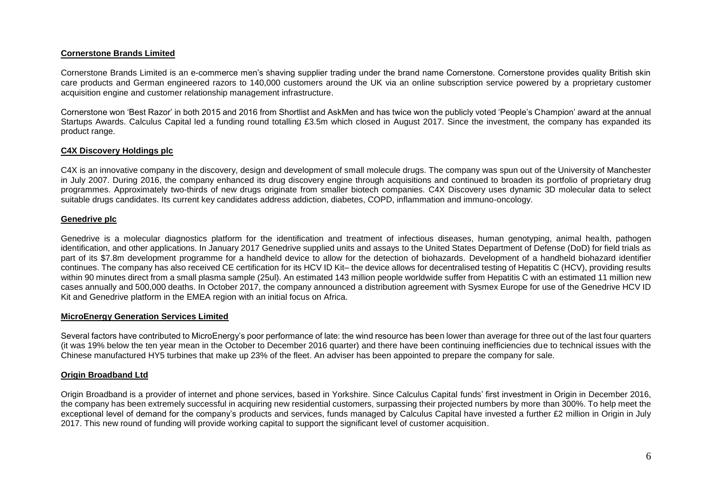#### **Cornerstone Brands Limited**

Cornerstone Brands Limited is an e-commerce men's shaving supplier trading under the brand name Cornerstone. Cornerstone provides quality British skin care products and German engineered razors to 140,000 customers around the UK via an online subscription service powered by a proprietary customer acquisition engine and customer relationship management infrastructure.

Cornerstone won 'Best Razor' in both 2015 and 2016 from Shortlist and AskMen and has twice won the publicly voted 'People's Champion' award at the annual Startups Awards. Calculus Capital led a funding round totalling £3.5m which closed in August 2017. Since the investment, the company has expanded its product range.

### **C4X Discovery Holdings plc**

C4X is an innovative company in the discovery, design and development of small molecule drugs. The company was spun out of the University of Manchester in July 2007. During 2016, the company enhanced its drug discovery engine through acquisitions and continued to broaden its portfolio of proprietary drug programmes. Approximately two-thirds of new drugs originate from smaller biotech companies. C4X Discovery uses dynamic 3D molecular data to select suitable drugs candidates. Its current key candidates address addiction, diabetes, COPD, inflammation and immuno-oncology.

#### **Genedrive plc**

Genedrive is a molecular diagnostics platform for the identification and treatment of infectious diseases, human genotyping, animal health, pathogen identification, and other applications. In January 2017 Genedrive supplied units and assays to the United States Department of Defense (DoD) for field trials as part of its \$7.8m development programme for a handheld device to allow for the detection of biohazards. Development of a handheld biohazard identifier continues. The company has also received CE certification for its HCV ID Kit– the device allows for decentralised testing of Hepatitis C (HCV), providing results within 90 minutes direct from a small plasma sample (25ul). An estimated 143 million people worldwide suffer from Hepatitis C with an estimated 11 million new cases annually and 500,000 deaths. In October 2017, the company announced a distribution agreement with Sysmex Europe for use of the Genedrive HCV ID Kit and Genedrive platform in the EMEA region with an initial focus on Africa.

# **MicroEnergy Generation Services Limited**

Several factors have contributed to MicroEnergy's poor performance of late: the wind resource has been lower than average for three out of the last four quarters (it was 19% below the ten year mean in the October to December 2016 quarter) and there have been continuing inefficiencies due to technical issues with the Chinese manufactured HY5 turbines that make up 23% of the fleet. An adviser has been appointed to prepare the company for sale.

# **Origin Broadband Ltd**

Origin Broadband is a provider of internet and phone services, based in Yorkshire. Since Calculus Capital funds' first investment in Origin in December 2016, the company has been extremely successful in acquiring new residential customers, surpassing their projected numbers by more than 300%. To help meet the exceptional level of demand for the company's products and services, funds managed by Calculus Capital have invested a further £2 million in Origin in July 2017. This new round of funding will provide working capital to support the significant level of customer acquisition.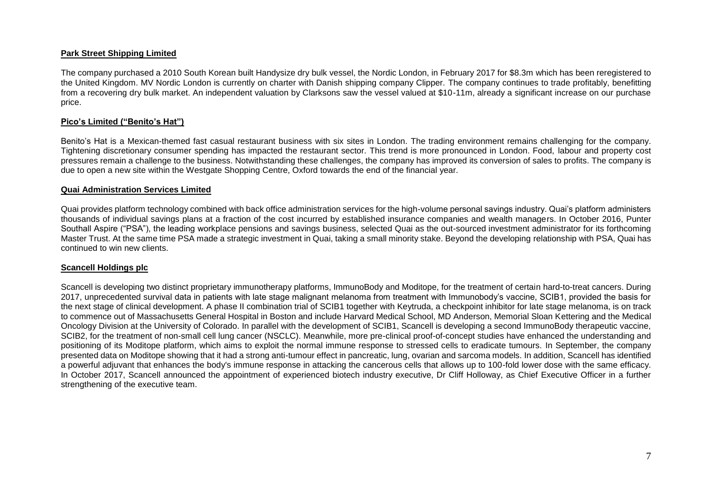#### **Park Street Shipping Limited**

The company purchased a 2010 South Korean built Handysize dry bulk vessel, the Nordic London, in February 2017 for \$8.3m which has been reregistered to the United Kingdom. MV Nordic London is currently on charter with Danish shipping company Clipper. The company continues to trade profitably, benefitting from a recovering dry bulk market. An independent valuation by Clarksons saw the vessel valued at \$10-11m, already a significant increase on our purchase price.

#### **Pico's Limited ("Benito's Hat")**

Benito's Hat is a Mexican-themed fast casual restaurant business with six sites in London. The trading environment remains challenging for the company. Tightening discretionary consumer spending has impacted the restaurant sector. This trend is more pronounced in London. Food, labour and property cost pressures remain a challenge to the business. Notwithstanding these challenges, the company has improved its conversion of sales to profits. The company is due to open a new site within the Westgate Shopping Centre, Oxford towards the end of the financial year.

#### **Quai Administration Services Limited**

Quai provides platform technology combined with back office administration services for the high-volume personal savings industry. Quai's platform administers thousands of individual savings plans at a fraction of the cost incurred by established insurance companies and wealth managers. In October 2016, Punter Southall Aspire ("PSA"), the leading workplace pensions and savings business, selected Quai as the out-sourced investment administrator for its forthcoming Master Trust. At the same time PSA made a strategic investment in Quai, taking a small minority stake. Beyond the developing relationship with PSA, Quai has continued to win new clients.

#### **Scancell Holdings plc**

Scancell is developing two distinct proprietary immunotherapy platforms, ImmunoBody and Moditope, for the treatment of certain hard-to-treat cancers. During 2017, unprecedented survival data in patients with late stage malignant melanoma from treatment with Immunobody's vaccine, SCIB1, provided the basis for the next stage of clinical development. A phase II combination trial of SCIB1 together with Keytruda, a checkpoint inhibitor for late stage melanoma, is on track to commence out of Massachusetts General Hospital in Boston and include Harvard Medical School, MD Anderson, Memorial Sloan Kettering and the Medical Oncology Division at the University of Colorado. In parallel with the development of SCIB1, Scancell is developing a second ImmunoBody therapeutic vaccine, SCIB2, for the treatment of non-small cell lung cancer (NSCLC). Meanwhile, more pre-clinical proof-of-concept studies have enhanced the understanding and positioning of its Moditope platform, which aims to exploit the normal immune response to stressed cells to eradicate tumours. In September, the company presented data on Moditope showing that it had a strong anti-tumour effect in pancreatic, lung, ovarian and sarcoma models. In addition, Scancell has identified a powerful adjuvant that enhances the body's immune response in attacking the cancerous cells that allows up to 100-fold lower dose with the same efficacy. In October 2017, Scancell announced the appointment of experienced biotech industry executive, Dr Cliff Holloway, as Chief Executive Officer in a further strengthening of the executive team.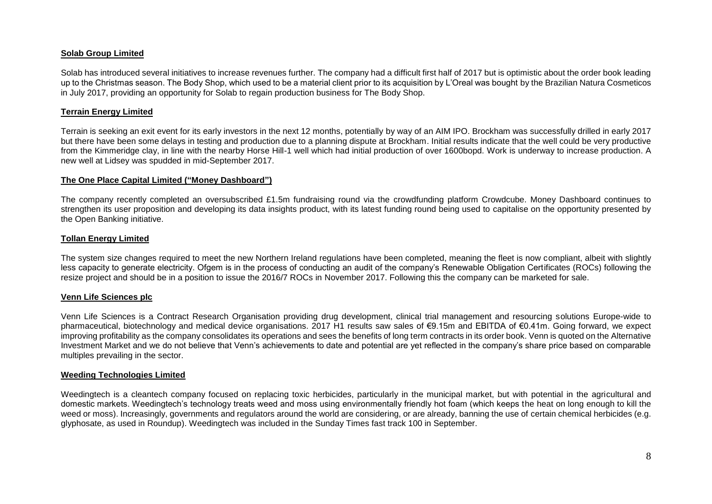### **Solab Group Limited**

Solab has introduced several initiatives to increase revenues further. The company had a difficult first half of 2017 but is optimistic about the order book leading up to the Christmas season. The Body Shop, which used to be a material client prior to its acquisition by L'Oreal was bought by the Brazilian Natura Cosmeticos in July 2017, providing an opportunity for Solab to regain production business for The Body Shop.

### **Terrain Energy Limited**

Terrain is seeking an exit event for its early investors in the next 12 months, potentially by way of an AIM IPO. Brockham was successfully drilled in early 2017 but there have been some delays in testing and production due to a planning dispute at Brockham. Initial results indicate that the well could be very productive from the Kimmeridge clay, in line with the nearby Horse Hill-1 well which had initial production of over 1600bopd. Work is underway to increase production. A new well at Lidsey was spudded in mid-September 2017.

### **The One Place Capital Limited ("Money Dashboard")**

The company recently completed an oversubscribed £1.5m fundraising round via the crowdfunding platform Crowdcube. Money Dashboard continues to strengthen its user proposition and developing its data insights product, with its latest funding round being used to capitalise on the opportunity presented by the Open Banking initiative.

# **Tollan Energy Limited**

The system size changes required to meet the new Northern Ireland regulations have been completed, meaning the fleet is now compliant, albeit with slightly less capacity to generate electricity. Ofgem is in the process of conducting an audit of the company's Renewable Obligation Certificates (ROCs) following the resize project and should be in a position to issue the 2016/7 ROCs in November 2017. Following this the company can be marketed for sale.

# **Venn Life Sciences plc**

Venn Life Sciences is a Contract Research Organisation providing drug development, clinical trial management and resourcing solutions Europe-wide to pharmaceutical, biotechnology and medical device organisations. 2017 H1 results saw sales of €9.15m and EBITDA of €0.41m. Going forward, we expect improving profitability as the company consolidates its operations and sees the benefits of long term contracts in its order book. Venn is quoted on the Alternative Investment Market and we do not believe that Venn's achievements to date and potential are yet reflected in the company's share price based on comparable multiples prevailing in the sector.

# **Weeding Technologies Limited**

Weedingtech is a cleantech company focused on replacing toxic herbicides, particularly in the municipal market, but with potential in the agricultural and domestic markets. Weedingtech's technology treats weed and moss using environmentally friendly hot foam (which keeps the heat on long enough to kill the weed or moss). Increasingly, governments and regulators around the world are considering, or are already, banning the use of certain chemical herbicides (e.g. glyphosate, as used in Roundup). Weedingtech was included in the Sunday Times fast track 100 in September.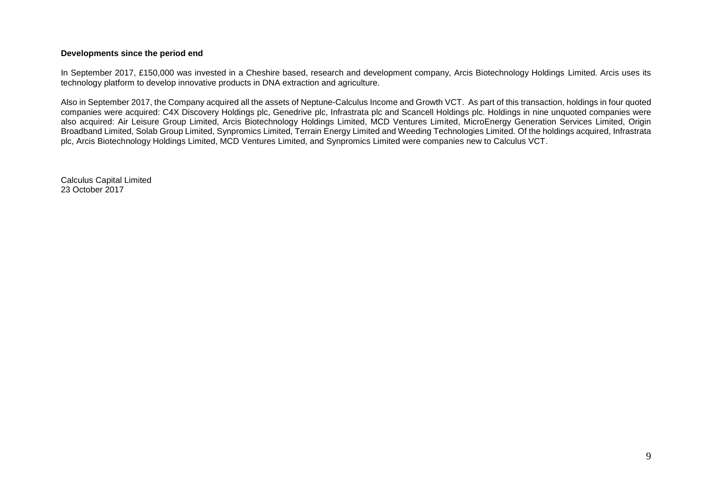#### **Developments since the period end**

In September 2017, £150,000 was invested in a Cheshire based, research and development company, Arcis Biotechnology Holdings Limited. Arcis uses its technology platform to develop innovative products in DNA extraction and agriculture.

Also in September 2017, the Company acquired all the assets of Neptune-Calculus Income and Growth VCT. As part of this transaction, holdings in four quoted companies were acquired: C4X Discovery Holdings plc, Genedrive plc, Infrastrata plc and Scancell Holdings plc. Holdings in nine unquoted companies were also acquired: Air Leisure Group Limited, Arcis Biotechnology Holdings Limited, MCD Ventures Limited, MicroEnergy Generation Services Limited, Origin Broadband Limited, Solab Group Limited, Synpromics Limited, Terrain Energy Limited and Weeding Technologies Limited. Of the holdings acquired, Infrastrata plc, Arcis Biotechnology Holdings Limited, MCD Ventures Limited, and Synpromics Limited were companies new to Calculus VCT.

Calculus Capital Limited 23 October 2017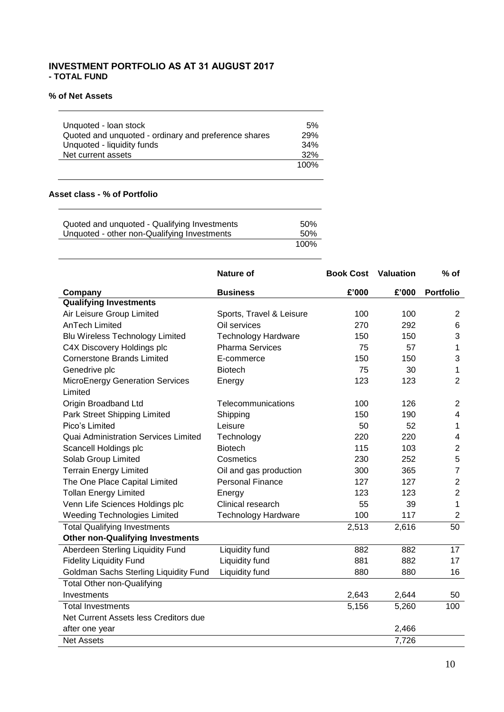# **INVESTMENT PORTFOLIO AS AT 31 AUGUST 2017 - TOTAL FUND**

### **% of Net Assets**

<u>and the community of the community</u>

| Unquoted - Ioan stock                                | .5%  |
|------------------------------------------------------|------|
| Quoted and unquoted - ordinary and preference shares | 29%  |
| Unquoted - liquidity funds                           | 34%  |
| Net current assets                                   | 32%  |
|                                                      | 100% |

# **Asset class - % of Portfolio**

| Quoted and unquoted - Qualifying Investments | 50%  |
|----------------------------------------------|------|
| Unquoted - other non-Qualifying Investments  | 50%  |
|                                              | 100% |

|                                            | <b>Nature of</b>           | <b>Book Cost Valuation</b> |       | $%$ of                  |
|--------------------------------------------|----------------------------|----------------------------|-------|-------------------------|
| Company                                    | <b>Business</b>            | £'000                      | £'000 | <b>Portfolio</b>        |
| <b>Qualifying Investments</b>              |                            |                            |       |                         |
| Air Leisure Group Limited                  | Sports, Travel & Leisure   | 100                        | 100   | $\overline{2}$          |
| <b>AnTech Limited</b>                      | Oil services               | 270                        | 292   | 6                       |
| <b>Blu Wireless Technology Limited</b>     | <b>Technology Hardware</b> | 150                        | 150   | 3                       |
| C4X Discovery Holdings plc                 | <b>Pharma Services</b>     | 75                         | 57    | 1                       |
| <b>Cornerstone Brands Limited</b>          | E-commerce                 | 150                        | 150   | 3                       |
| Genedrive plc                              | <b>Biotech</b>             | 75                         | 30    | $\mathbf{1}$            |
| MicroEnergy Generation Services<br>Limited | Energy                     | 123                        | 123   | $\overline{2}$          |
| Origin Broadband Ltd                       | Telecommunications         | 100                        | 126   | $\overline{2}$          |
| Park Street Shipping Limited               | Shipping                   | 150                        | 190   | 4                       |
| Pico's Limited                             | Leisure                    | 50                         | 52    | $\mathbf{1}$            |
| Quai Administration Services Limited       | Technology                 | 220                        | 220   | $\overline{\mathbf{4}}$ |
| Scancell Holdings plc                      | <b>Biotech</b>             | 115                        | 103   | $\overline{c}$          |
| Solab Group Limited                        | Cosmetics                  | 230                        | 252   | 5                       |
| <b>Terrain Energy Limited</b>              | Oil and gas production     | 300                        | 365   | $\overline{7}$          |
| The One Place Capital Limited              | <b>Personal Finance</b>    | 127                        | 127   | $\overline{c}$          |
| <b>Tollan Energy Limited</b>               | Energy                     | 123                        | 123   | $\overline{2}$          |
| Venn Life Sciences Holdings plc            | Clinical research          | 55                         | 39    | 1                       |
| <b>Weeding Technologies Limited</b>        | <b>Technology Hardware</b> | 100                        | 117   | $\overline{2}$          |
| <b>Total Qualifying Investments</b>        |                            | 2,513                      | 2,616 | 50                      |
| <b>Other non-Qualifying Investments</b>    |                            |                            |       |                         |
| Aberdeen Sterling Liquidity Fund           | Liquidity fund             | 882                        | 882   | 17                      |
| <b>Fidelity Liquidity Fund</b>             | Liquidity fund             | 881                        | 882   | 17                      |
| Goldman Sachs Sterling Liquidity Fund      | Liquidity fund             | 880                        | 880   | 16                      |
| <b>Total Other non-Qualifying</b>          |                            |                            |       |                         |
| Investments                                |                            | 2,643                      | 2,644 | 50                      |
| <b>Total Investments</b>                   |                            | 5,156                      | 5,260 | 100                     |
| Net Current Assets less Creditors due      |                            |                            |       |                         |
| after one year                             |                            |                            | 2,466 |                         |
| <b>Net Assets</b>                          |                            |                            | 7,726 |                         |

J.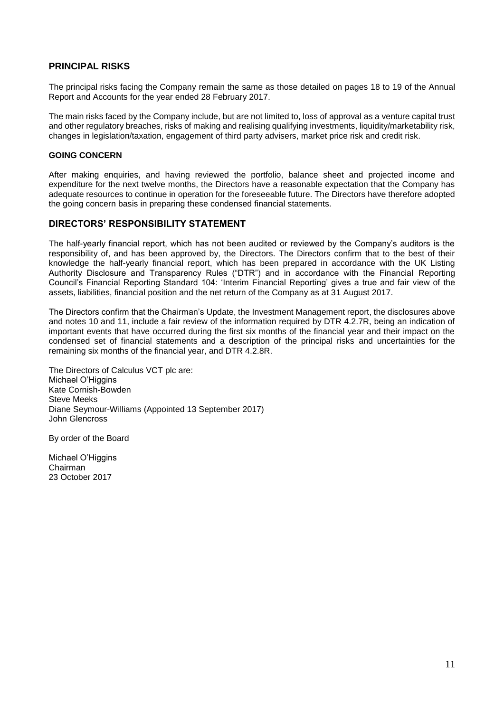# **PRINCIPAL RISKS**

The principal risks facing the Company remain the same as those detailed on pages 18 to 19 of the Annual Report and Accounts for the year ended 28 February 2017.

The main risks faced by the Company include, but are not limited to, loss of approval as a venture capital trust and other regulatory breaches, risks of making and realising qualifying investments, liquidity/marketability risk, changes in legislation/taxation, engagement of third party advisers, market price risk and credit risk.

# **GOING CONCERN**

After making enquiries, and having reviewed the portfolio, balance sheet and projected income and expenditure for the next twelve months, the Directors have a reasonable expectation that the Company has adequate resources to continue in operation for the foreseeable future. The Directors have therefore adopted the going concern basis in preparing these condensed financial statements.

# **DIRECTORS' RESPONSIBILITY STATEMENT**

The half-yearly financial report, which has not been audited or reviewed by the Company's auditors is the responsibility of, and has been approved by, the Directors. The Directors confirm that to the best of their knowledge the half-yearly financial report, which has been prepared in accordance with the UK Listing Authority Disclosure and Transparency Rules ("DTR") and in accordance with the Financial Reporting Council's Financial Reporting Standard 104: 'Interim Financial Reporting' gives a true and fair view of the assets, liabilities, financial position and the net return of the Company as at 31 August 2017.

The Directors confirm that the Chairman's Update, the Investment Management report, the disclosures above and notes 10 and 11, include a fair review of the information required by DTR 4.2.7R, being an indication of important events that have occurred during the first six months of the financial year and their impact on the condensed set of financial statements and a description of the principal risks and uncertainties for the remaining six months of the financial year, and DTR 4.2.8R.

The Directors of Calculus VCT plc are: Michael O'Higgins Kate Cornish-Bowden Steve Meeks Diane Seymour-Williams (Appointed 13 September 2017) John Glencross

By order of the Board

Michael O'Higgins Chairman 23 October 2017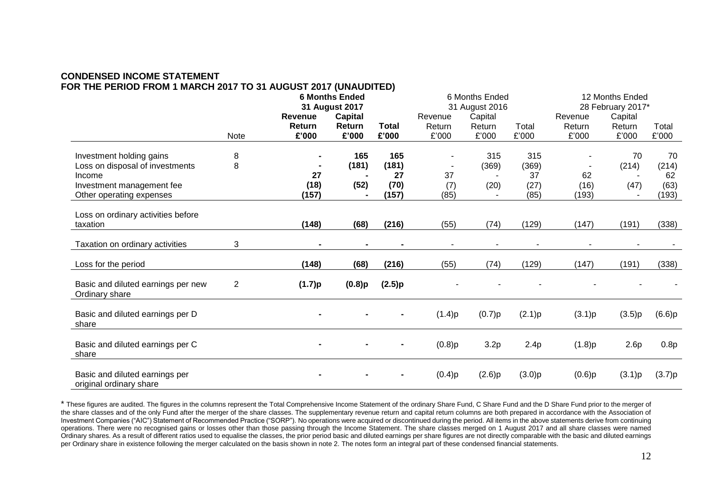# **CONDENSED INCOME STATEMENT FOR THE PERIOD FROM 1 MARCH 2017 TO 31 AUGUST 2017 (UNAUDITED)**

|                                                           |              | <b>6 Months Ended</b><br>31 August 2017 |                |                | 6 Months Ended<br>31 August 2016 |         |        | 12 Months Ended   |                          |        |  |
|-----------------------------------------------------------|--------------|-----------------------------------------|----------------|----------------|----------------------------------|---------|--------|-------------------|--------------------------|--------|--|
|                                                           |              |                                         |                |                |                                  |         |        | 28 February 2017* |                          |        |  |
|                                                           |              | <b>Revenue</b>                          | <b>Capital</b> |                | Revenue                          | Capital |        | Revenue           | Capital                  |        |  |
|                                                           |              | Return                                  | Return         | <b>Total</b>   | Return                           | Return  | Total  | Return            | Return                   | Total  |  |
|                                                           | Note         | £'000                                   | £'000          | £'000          | £'000                            | £'000   | £'000  | £'000             | £'000                    | £'000  |  |
| Investment holding gains                                  | 8            |                                         | 165            | 165            |                                  | 315     | 315    |                   | 70                       | 70     |  |
| Loss on disposal of investments                           | 8            |                                         | (181)          | (181)          |                                  | (369)   | (369)  |                   | (214)                    | (214)  |  |
| Income                                                    |              | 27                                      |                | 27             | 37                               |         | 37     | 62                |                          | 62     |  |
| Investment management fee                                 |              | (18)                                    | (52)           | (70)           | (7)                              | (20)    | (27)   | (16)              | (47)                     | (63)   |  |
| Other operating expenses                                  |              | (157)                                   |                | (157)          | (85)                             |         | (85)   | (193)             |                          | (193)  |  |
|                                                           |              |                                         |                |                |                                  |         |        |                   |                          |        |  |
| Loss on ordinary activities before                        |              | (148)                                   |                |                |                                  |         | (129)  |                   |                          |        |  |
| taxation                                                  |              |                                         | (68)           | (216)          | (55)                             | (74)    |        | (147)             | (191)                    | (338)  |  |
| Taxation on ordinary activities                           | 3            |                                         | $\blacksquare$ | $\blacksquare$ |                                  |         |        |                   | $\overline{\phantom{a}}$ |        |  |
| Loss for the period                                       |              | (148)                                   | (68)           | (216)          | (55)                             | (74)    | (129)  | (147)             | (191)                    | (338)  |  |
| Basic and diluted earnings per new<br>Ordinary share      | $\mathbf{2}$ | (1.7)p                                  | $(0.8)$ p      | (2.5)p         |                                  |         |        |                   |                          |        |  |
| Basic and diluted earnings per D<br>share                 |              |                                         |                |                | (1.4)p                           | (0.7)p  | (2.1)p | (3.1)p            | (3.5)p                   | (6.6)p |  |
| Basic and diluted earnings per C<br>share                 |              |                                         |                |                | (0.8)p                           | 3.2p    | 2.4p   | (1.8)p            | 2.6p                     | 0.8p   |  |
| Basic and diluted earnings per<br>original ordinary share |              |                                         |                |                | (0.4)p                           | (2.6)p  | (3.0)p | (0.6)p            | (3.1)p                   | (3.7)p |  |

\* These figures are audited. The figures in the columns represent the Total Comprehensive Income Statement of the ordinary Share Fund, C Share Fund and the D Share Fund prior to the merger of the share classes and of the only Fund after the merger of the share classes. The supplementary revenue return and capital return columns are both prepared in accordance with the Association of Investment Companies ("AIC") Statement of Recommended Practice ("SORP"). No operations were acquired or discontinued during the period. All items in the above statements derive from continuing operations. There were no recognised gains or losses other than those passing through the Income Statement. The share classes merged on 1 August 2017 and all share classes were named Ordinary shares. As a result of different ratios used to equalise the classes, the prior period basic and diluted earnings per share figures are not directly comparable with the basic and diluted earnings per Ordinary share in existence following the merger calculated on the basis shown in note 2. The notes form an integral part of these condensed financial statements.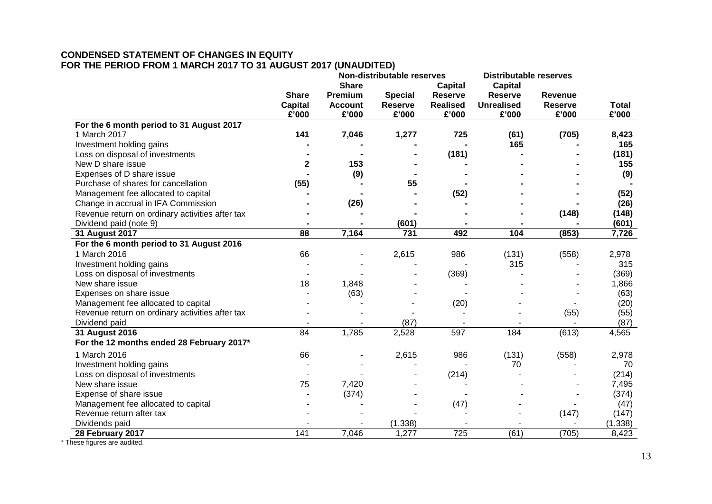# **CONDENSED STATEMENT OF CHANGES IN EQUITY FOR THE PERIOD FROM 1 MARCH 2017 TO 31 AUGUST 2017 (UNAUDITED)**

|                                                 |                |                | Non-distributable reserves |                 | <b>Distributable reserves</b> |                |              |
|-------------------------------------------------|----------------|----------------|----------------------------|-----------------|-------------------------------|----------------|--------------|
|                                                 |                | <b>Share</b>   |                            | Capital         | <b>Capital</b>                |                |              |
|                                                 | <b>Share</b>   | Premium        | <b>Special</b>             | <b>Reserve</b>  | <b>Reserve</b>                | <b>Revenue</b> |              |
|                                                 | <b>Capital</b> | <b>Account</b> | <b>Reserve</b>             | <b>Realised</b> | <b>Unrealised</b>             | <b>Reserve</b> | <b>Total</b> |
|                                                 | £'000          | £'000          | £'000                      | £'000           | £'000                         | £'000          | £'000        |
| For the 6 month period to 31 August 2017        |                |                |                            |                 |                               |                |              |
| 1 March 2017                                    | 141            | 7,046          | 1,277                      | 725             | (61)                          | (705)          | 8,423        |
| Investment holding gains                        |                |                |                            |                 | 165                           |                | 165          |
| Loss on disposal of investments                 |                |                |                            | (181)           |                               |                | (181)        |
| New D share issue                               | 2              | 153            |                            |                 |                               |                | 155          |
| Expenses of D share issue                       |                | (9)            |                            |                 |                               |                | (9)          |
| Purchase of shares for cancellation             | (55)           |                | 55                         |                 |                               |                |              |
| Management fee allocated to capital             |                |                |                            | (52)            |                               |                | (52)         |
| Change in accrual in IFA Commission             |                | (26)           |                            |                 |                               |                | (26)         |
| Revenue return on ordinary activities after tax |                |                |                            |                 |                               | (148)          | (148)        |
| Dividend paid (note 9)                          |                |                | (601)                      |                 |                               |                | (601)        |
| 31 August 2017                                  | 88             | 7,164          | 731                        | 492             | 104                           | (853)          | 7,726        |
| For the 6 month period to 31 August 2016        |                |                |                            |                 |                               |                |              |
| 1 March 2016                                    | 66             |                | 2,615                      | 986             | (131)                         | (558)          | 2,978        |
| Investment holding gains                        |                |                |                            |                 | 315                           |                | 315          |
| Loss on disposal of investments                 |                |                |                            | (369)           |                               |                | (369)        |
| New share issue                                 | 18             | 1,848          |                            |                 |                               |                | 1,866        |
| Expenses on share issue                         |                | (63)           |                            |                 |                               |                | (63)         |
| Management fee allocated to capital             |                |                |                            | (20)            |                               |                | (20)         |
| Revenue return on ordinary activities after tax |                |                |                            |                 |                               | (55)           | (55)         |
| Dividend paid                                   |                |                | (87)                       |                 |                               |                | (87)         |
| 31 August 2016                                  | 84             | 1,785          | 2,528                      | 597             | 184                           | (613)          | 4,565        |
| For the 12 months ended 28 February 2017*       |                |                |                            |                 |                               |                |              |
| 1 March 2016                                    | 66             |                | 2,615                      | 986             | (131)                         | (558)          | 2,978        |
| Investment holding gains                        |                |                |                            |                 | 70                            |                | 70           |
| Loss on disposal of investments                 |                |                |                            | (214)           |                               |                | (214)        |
| New share issue                                 | 75             | 7,420          |                            |                 |                               |                | 7,495        |
| Expense of share issue                          |                | (374)          |                            |                 |                               |                | (374)        |
| Management fee allocated to capital             |                |                |                            | (47)            |                               |                | (47)         |
| Revenue return after tax                        |                |                |                            |                 |                               | (147)          | (147)        |
| Dividends paid                                  |                |                | (1, 338)                   |                 |                               |                | (1, 338)     |
| 28 February 2017                                | 141            | 7,046          | 1,277                      | 725             | (61)                          | (705)          | 8,423        |

\* These figures are audited.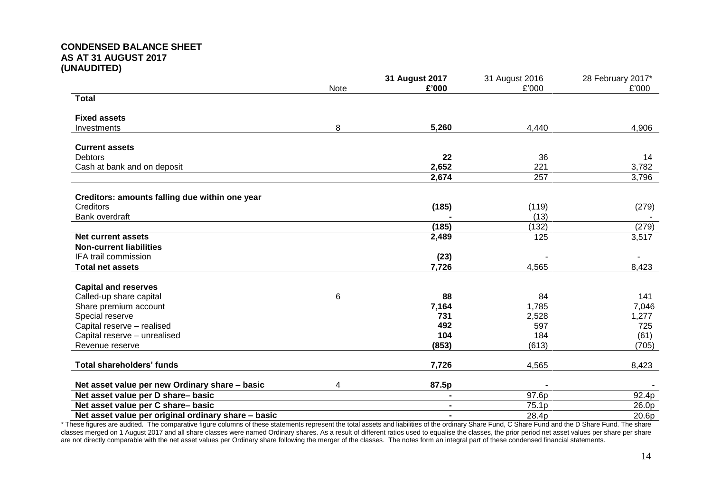# **CONDENSED BALANCE SHEET AS AT 31 AUGUST 2017 (UNAUDITED)**

|                                                     | Note | 31 August 2017<br>£'000 | 31 August 2016<br>£'000 | 28 February 2017*<br>£'000 |
|-----------------------------------------------------|------|-------------------------|-------------------------|----------------------------|
| <b>Total</b>                                        |      |                         |                         |                            |
| <b>Fixed assets</b>                                 |      |                         |                         |                            |
| Investments                                         | 8    | 5,260                   | 4,440                   | 4,906                      |
|                                                     |      |                         |                         |                            |
| <b>Current assets</b>                               |      |                         |                         |                            |
| <b>Debtors</b>                                      |      | 22                      | 36                      | 14                         |
| Cash at bank and on deposit                         |      | 2,652                   | 221                     | 3,782                      |
|                                                     |      | 2,674                   | 257                     | 3,796                      |
| Creditors: amounts falling due within one year      |      |                         |                         |                            |
| Creditors                                           |      | (185)                   | (119)                   | (279)                      |
| Bank overdraft                                      |      |                         | (13)                    |                            |
|                                                     |      | (185)                   | (132)                   | (279)                      |
| <b>Net current assets</b>                           |      | 2,489                   | 125                     | 3,517                      |
| <b>Non-current liabilities</b>                      |      |                         |                         |                            |
| IFA trail commission                                |      | (23)                    |                         |                            |
| <b>Total net assets</b>                             |      | 7,726                   | 4,565                   | 8,423                      |
| <b>Capital and reserves</b>                         |      |                         |                         |                            |
| Called-up share capital                             | 6    | 88                      | 84                      | 141                        |
| Share premium account                               |      | 7,164                   | 1,785                   | 7,046                      |
| Special reserve                                     |      | 731                     | 2,528                   | 1,277                      |
| Capital reserve - realised                          |      | 492                     | 597                     | 725                        |
| Capital reserve - unrealised                        |      | 104                     | 184                     | (61)                       |
| Revenue reserve                                     |      | (853)                   | (613)                   | (705)                      |
| <b>Total shareholders' funds</b>                    |      | 7,726                   | 4,565                   | 8,423                      |
|                                                     |      |                         |                         |                            |
| Net asset value per new Ordinary share - basic      | 4    | 87.5p                   |                         |                            |
| Net asset value per D share-basic                   |      |                         | 97.6p                   | 92.4p                      |
| Net asset value per C share-basic                   |      | $\blacksquare$          | 75.1p                   | 26.0p                      |
| Net asset value per original ordinary share - basic |      | $\blacksquare$          | 28.4p                   | 20.6p                      |

\* These figures are audited. The comparative figure columns of these statements represent the total assets and liabilities of the ordinary Share Fund, C Share Fund and the D Share Fund. The share classes merged on 1 August 2017 and all share classes were named Ordinary shares. As a result of different ratios used to equalise the classes, the prior period net asset values per share per share per share per share per are not directly comparable with the net asset values per Ordinary share following the merger of the classes. The notes form an integral part of these condensed financial statements.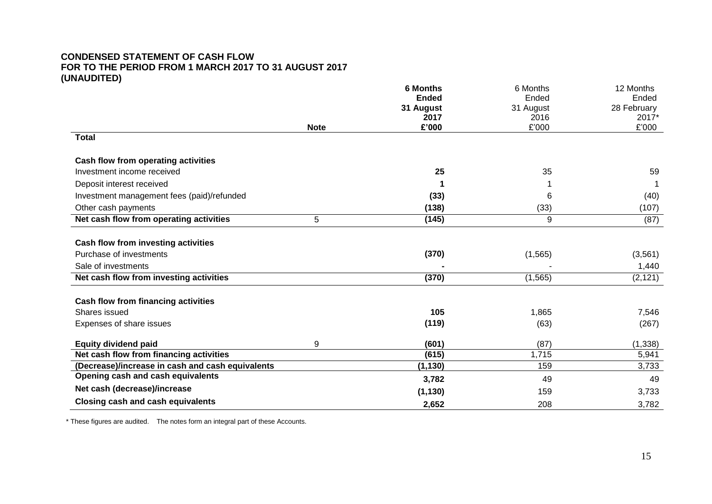# **CONDENSED STATEMENT OF CASH FLOW FOR TO THE PERIOD FROM 1 MARCH 2017 TO 31 AUGUST 2017 (UNAUDITED)**

|                                                  |             | <b>6 Months</b> | 6 Months  | 12 Months   |
|--------------------------------------------------|-------------|-----------------|-----------|-------------|
|                                                  |             | <b>Ended</b>    | Ended     | Ended       |
|                                                  |             | 31 August       | 31 August | 28 February |
|                                                  |             | 2017            | 2016      | 2017*       |
|                                                  | <b>Note</b> | £'000           | £'000     | £'000       |
| <b>Total</b>                                     |             |                 |           |             |
| Cash flow from operating activities              |             |                 |           |             |
| Investment income received                       |             | 25              | 35        | 59          |
| Deposit interest received                        |             |                 |           |             |
| Investment management fees (paid)/refunded       |             | (33)            | 6         | (40)        |
| Other cash payments                              |             | (138)           | (33)      | (107)       |
| Net cash flow from operating activities          | 5           | (145)           | 9         | (87)        |
| <b>Cash flow from investing activities</b>       |             |                 |           |             |
| Purchase of investments                          |             |                 |           | (3, 561)    |
|                                                  |             | (370)           | (1, 565)  |             |
| Sale of investments                              |             |                 |           | 1,440       |
| Net cash flow from investing activities          |             | (370)           | (1, 565)  | (2, 121)    |
| Cash flow from financing activities              |             |                 |           |             |
| Shares issued                                    |             | 105             | 1,865     | 7,546       |
| Expenses of share issues                         |             | (119)           | (63)      | (267)       |
| <b>Equity dividend paid</b>                      | 9           | (601)           | (87)      | (1, 338)    |
| Net cash flow from financing activities          |             | (615)           | 1,715     | 5,941       |
| (Decrease)/increase in cash and cash equivalents |             | (1, 130)        | 159       | 3,733       |
| Opening cash and cash equivalents                |             | 3,782           | 49        | 49          |
| Net cash (decrease)/increase                     |             | (1, 130)        | 159       | 3,733       |
| <b>Closing cash and cash equivalents</b>         |             | 2,652           | 208       | 3,782       |

\* These figures are audited. The notes form an integral part of these Accounts.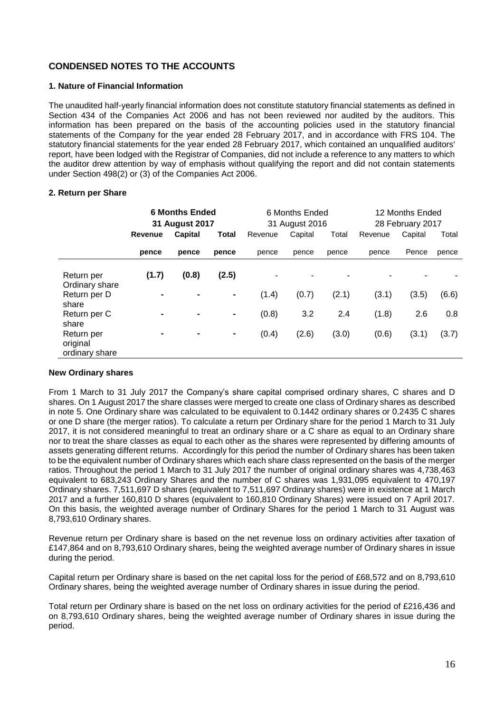# **CONDENSED NOTES TO THE ACCOUNTS**

# **1. Nature of Financial Information**

The unaudited half-yearly financial information does not constitute statutory financial statements as defined in Section 434 of the Companies Act 2006 and has not been reviewed nor audited by the auditors. This information has been prepared on the basis of the accounting policies used in the statutory financial statements of the Company for the year ended 28 February 2017, and in accordance with FRS 104. The statutory financial statements for the year ended 28 February 2017, which contained an unqualified auditors' report, have been lodged with the Registrar of Companies, did not include a reference to any matters to which the auditor drew attention by way of emphasis without qualifying the report and did not contain statements under Section 498(2) or (3) of the Companies Act 2006.

### **2. Return per Share**

|                                                   | <b>6 Months Ended</b><br>31 August 2017 |       | 6 Months Ended<br>31 August 2016 |            |                                   | 12 Months Ended<br>28 February 2017 |         |       |       |
|---------------------------------------------------|-----------------------------------------|-------|----------------------------------|------------|-----------------------------------|-------------------------------------|---------|-------|-------|
|                                                   | Capital<br>Revenue                      | Total | Revenue                          | Capital    | Total                             | Revenue                             | Capital | Total |       |
|                                                   | pence                                   | pence | pence                            | pence      | pence                             | pence                               | pence   | Pence | pence |
| Return per<br>Ordinary share<br>Return per D      | (1.7)                                   | (0.8) | (2.5)<br>$\blacksquare$          | ۰<br>(1.4) | $\overline{\phantom{0}}$<br>(0.7) | (2.1)                               | (3.1)   | (3.5) | (6.6) |
| share<br>Return per C                             | $\blacksquare$                          | ۰     | $\blacksquare$                   | (0.8)      | 3.2                               | 2.4                                 | (1.8)   | 2.6   | 0.8   |
| share<br>Return per<br>original<br>ordinary share | ۰                                       | ۰     | $\blacksquare$                   | (0.4)      | (2.6)                             | (3.0)                               | (0.6)   | (3.1) | (3.7) |

# **New Ordinary shares**

From 1 March to 31 July 2017 the Company's share capital comprised ordinary shares, C shares and D shares. On 1 August 2017 the share classes were merged to create one class of Ordinary shares as described in note 5. One Ordinary share was calculated to be equivalent to 0.1442 ordinary shares or 0.2435 C shares or one D share (the merger ratios). To calculate a return per Ordinary share for the period 1 March to 31 July 2017, it is not considered meaningful to treat an ordinary share or a C share as equal to an Ordinary share nor to treat the share classes as equal to each other as the shares were represented by differing amounts of assets generating different returns. Accordingly for this period the number of Ordinary shares has been taken to be the equivalent number of Ordinary shares which each share class represented on the basis of the merger ratios. Throughout the period 1 March to 31 July 2017 the number of original ordinary shares was 4,738,463 equivalent to 683,243 Ordinary Shares and the number of C shares was 1,931,095 equivalent to 470,197 Ordinary shares. 7,511,697 D shares (equivalent to 7,511,697 Ordinary shares) were in existence at 1 March 2017 and a further 160,810 D shares (equivalent to 160,810 Ordinary Shares) were issued on 7 April 2017. On this basis, the weighted average number of Ordinary Shares for the period 1 March to 31 August was 8,793,610 Ordinary shares.

Revenue return per Ordinary share is based on the net revenue loss on ordinary activities after taxation of £147,864 and on 8,793,610 Ordinary shares, being the weighted average number of Ordinary shares in issue during the period.

Capital return per Ordinary share is based on the net capital loss for the period of £68,572 and on 8,793,610 Ordinary shares, being the weighted average number of Ordinary shares in issue during the period.

Total return per Ordinary share is based on the net loss on ordinary activities for the period of £216,436 and on 8,793,610 Ordinary shares, being the weighted average number of Ordinary shares in issue during the period.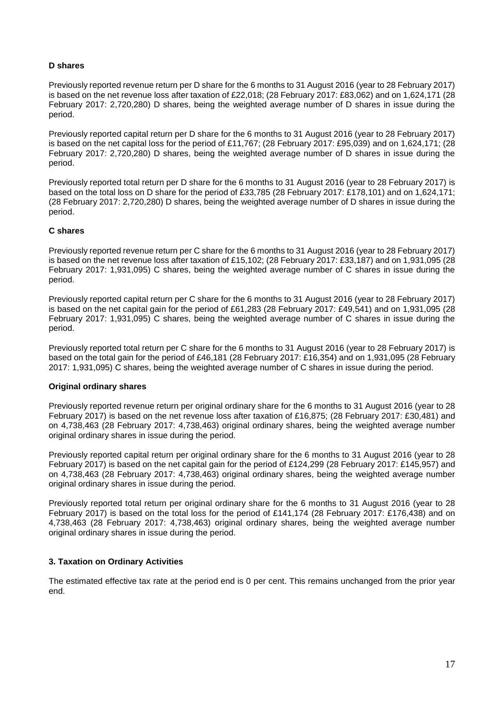# **D shares**

Previously reported revenue return per D share for the 6 months to 31 August 2016 (year to 28 February 2017) is based on the net revenue loss after taxation of £22,018; (28 February 2017: £83,062) and on 1,624,171 (28 February 2017: 2,720,280) D shares, being the weighted average number of D shares in issue during the period.

Previously reported capital return per D share for the 6 months to 31 August 2016 (year to 28 February 2017) is based on the net capital loss for the period of £11,767; (28 February 2017: £95,039) and on 1,624,171; (28 February 2017: 2,720,280) D shares, being the weighted average number of D shares in issue during the period.

Previously reported total return per D share for the 6 months to 31 August 2016 (year to 28 February 2017) is based on the total loss on D share for the period of £33,785 (28 February 2017: £178,101) and on 1,624,171; (28 February 2017: 2,720,280) D shares, being the weighted average number of D shares in issue during the period.

# **C shares**

Previously reported revenue return per C share for the 6 months to 31 August 2016 (year to 28 February 2017) is based on the net revenue loss after taxation of £15,102; (28 February 2017: £33,187) and on 1,931,095 (28 February 2017: 1,931,095) C shares, being the weighted average number of C shares in issue during the period.

Previously reported capital return per C share for the 6 months to 31 August 2016 (year to 28 February 2017) is based on the net capital gain for the period of £61,283 (28 February 2017: £49,541) and on 1,931,095 (28 February 2017: 1,931,095) C shares, being the weighted average number of C shares in issue during the period.

Previously reported total return per C share for the 6 months to 31 August 2016 (year to 28 February 2017) is based on the total gain for the period of £46,181 (28 February 2017: £16,354) and on 1,931,095 (28 February 2017: 1,931,095) C shares, being the weighted average number of C shares in issue during the period.

#### **Original ordinary shares**

Previously reported revenue return per original ordinary share for the 6 months to 31 August 2016 (year to 28 February 2017) is based on the net revenue loss after taxation of £16,875; (28 February 2017: £30,481) and on 4,738,463 (28 February 2017: 4,738,463) original ordinary shares, being the weighted average number original ordinary shares in issue during the period.

Previously reported capital return per original ordinary share for the 6 months to 31 August 2016 (year to 28 February 2017) is based on the net capital gain for the period of £124,299 (28 February 2017: £145,957) and on 4,738,463 (28 February 2017: 4,738,463) original ordinary shares, being the weighted average number original ordinary shares in issue during the period.

Previously reported total return per original ordinary share for the 6 months to 31 August 2016 (year to 28 February 2017) is based on the total loss for the period of £141,174 (28 February 2017: £176,438) and on 4,738,463 (28 February 2017: 4,738,463) original ordinary shares, being the weighted average number original ordinary shares in issue during the period.

# **3. Taxation on Ordinary Activities**

The estimated effective tax rate at the period end is 0 per cent. This remains unchanged from the prior year end.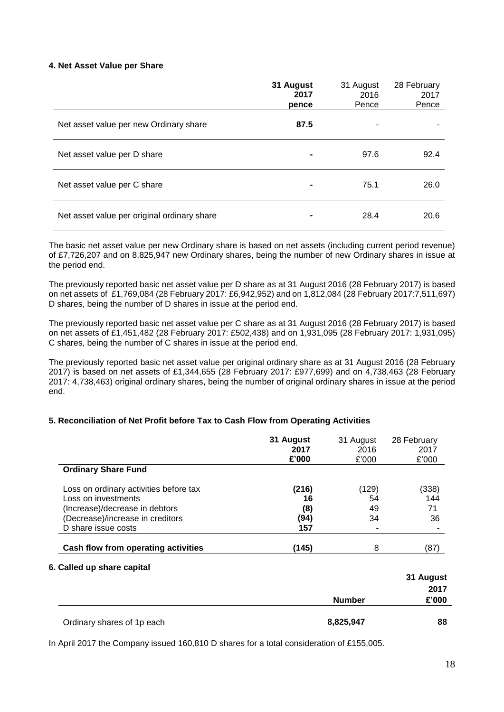#### **4. Net Asset Value per Share**

|                                             | 31 August<br>2017<br>pence | 31 August<br>2016<br>Pence | 28 February<br>2017<br>Pence |
|---------------------------------------------|----------------------------|----------------------------|------------------------------|
| Net asset value per new Ordinary share      | 87.5                       |                            |                              |
| Net asset value per D share                 | $\blacksquare$             | 97.6                       | 92.4                         |
| Net asset value per C share                 |                            | 75.1                       | 26.0                         |
| Net asset value per original ordinary share | $\blacksquare$             | 28.4                       | 20.6                         |

The basic net asset value per new Ordinary share is based on net assets (including current period revenue) of £7,726,207 and on 8,825,947 new Ordinary shares, being the number of new Ordinary shares in issue at the period end.

The previously reported basic net asset value per D share as at 31 August 2016 (28 February 2017) is based on net assets of £1,769,084 (28 February 2017: £6,942,952) and on 1,812,084 (28 February 2017:7,511,697) D shares, being the number of D shares in issue at the period end.

The previously reported basic net asset value per C share as at 31 August 2016 (28 February 2017) is based on net assets of £1,451,482 (28 February 2017: £502,438) and on 1,931,095 (28 February 2017: 1,931,095) C shares, being the number of C shares in issue at the period end.

The previously reported basic net asset value per original ordinary share as at 31 August 2016 (28 February 2017) is based on net assets of £1,344,655 (28 February 2017: £977,699) and on 4,738,463 (28 February 2017: 4,738,463) original ordinary shares, being the number of original ordinary shares in issue at the period end.

# **5. Reconciliation of Net Profit before Tax to Cash Flow from Operating Activities**

|                                                                   |             | <b>Number</b> | 31 August<br>2017<br>£'000 |
|-------------------------------------------------------------------|-------------|---------------|----------------------------|
| Cash flow from operating activities<br>6. Called up share capital | (145)       | 8             | (87)                       |
| D share issue costs                                               | 157         |               |                            |
| (Decrease)/increase in creditors                                  | (94)        | 34            | 36                         |
| (Increase)/decrease in debtors                                    | (8)         | 49            | 71                         |
| Loss on ordinary activities before tax<br>Loss on investments     | (216)<br>16 | (129)<br>54   | (338)<br>144               |
| <b>Ordinary Share Fund</b>                                        |             |               |                            |
|                                                                   | £'000       | £'000         | £'000                      |
|                                                                   | 2017        | 2016          | 2017                       |
|                                                                   | 31 August   | 31 August     | 28 February                |

Ordinary shares of 1p each **8,825,947 88**

In April 2017 the Company issued 160,810 D shares for a total consideration of £155,005.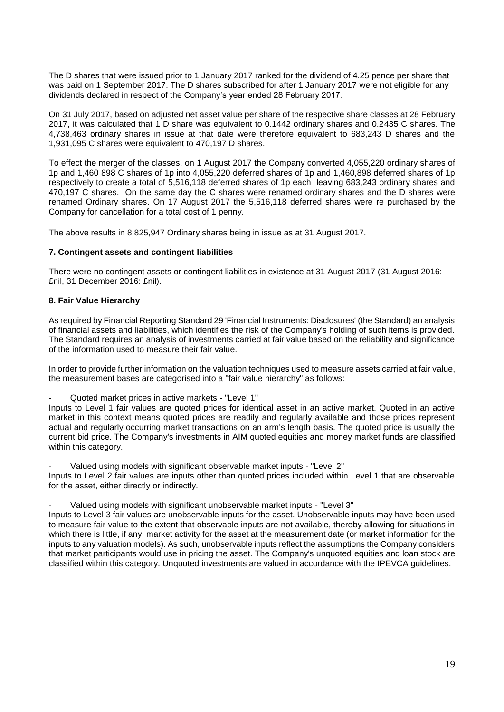The D shares that were issued prior to 1 January 2017 ranked for the dividend of 4.25 pence per share that was paid on 1 September 2017. The D shares subscribed for after 1 January 2017 were not eligible for any dividends declared in respect of the Company's year ended 28 February 2017.

On 31 July 2017, based on adjusted net asset value per share of the respective share classes at 28 February 2017, it was calculated that 1 D share was equivalent to 0.1442 ordinary shares and 0.2435 C shares. The 4,738,463 ordinary shares in issue at that date were therefore equivalent to 683,243 D shares and the 1,931,095 C shares were equivalent to 470,197 D shares.

To effect the merger of the classes, on 1 August 2017 the Company converted 4,055,220 ordinary shares of 1p and 1,460 898 C shares of 1p into 4,055,220 deferred shares of 1p and 1,460,898 deferred shares of 1p respectively to create a total of 5,516,118 deferred shares of 1p each leaving 683,243 ordinary shares and 470,197 C shares. On the same day the C shares were renamed ordinary shares and the D shares were renamed Ordinary shares. On 17 August 2017 the 5,516,118 deferred shares were re purchased by the Company for cancellation for a total cost of 1 penny.

The above results in 8,825,947 Ordinary shares being in issue as at 31 August 2017.

# **7. Contingent assets and contingent liabilities**

There were no contingent assets or contingent liabilities in existence at 31 August 2017 (31 August 2016: £nil, 31 December 2016: £nil).

# **8. Fair Value Hierarchy**

As required by Financial Reporting Standard 29 'Financial Instruments: Disclosures' (the Standard) an analysis of financial assets and liabilities, which identifies the risk of the Company's holding of such items is provided. The Standard requires an analysis of investments carried at fair value based on the reliability and significance of the information used to measure their fair value.

In order to provide further information on the valuation techniques used to measure assets carried at fair value, the measurement bases are categorised into a "fair value hierarchy" as follows:

- Quoted market prices in active markets - "Level 1"

Inputs to Level 1 fair values are quoted prices for identical asset in an active market. Quoted in an active market in this context means quoted prices are readily and regularly available and those prices represent actual and regularly occurring market transactions on an arm's length basis. The quoted price is usually the current bid price. The Company's investments in AIM quoted equities and money market funds are classified within this category.

Valued using models with significant observable market inputs - "Level 2" Inputs to Level 2 fair values are inputs other than quoted prices included within Level 1 that are observable for the asset, either directly or indirectly.

#### Valued using models with significant unobservable market inputs - "Level 3"

Inputs to Level 3 fair values are unobservable inputs for the asset. Unobservable inputs may have been used to measure fair value to the extent that observable inputs are not available, thereby allowing for situations in which there is little, if any, market activity for the asset at the measurement date (or market information for the inputs to any valuation models). As such, unobservable inputs reflect the assumptions the Company considers that market participants would use in pricing the asset. The Company's unquoted equities and loan stock are classified within this category. Unquoted investments are valued in accordance with the IPEVCA guidelines.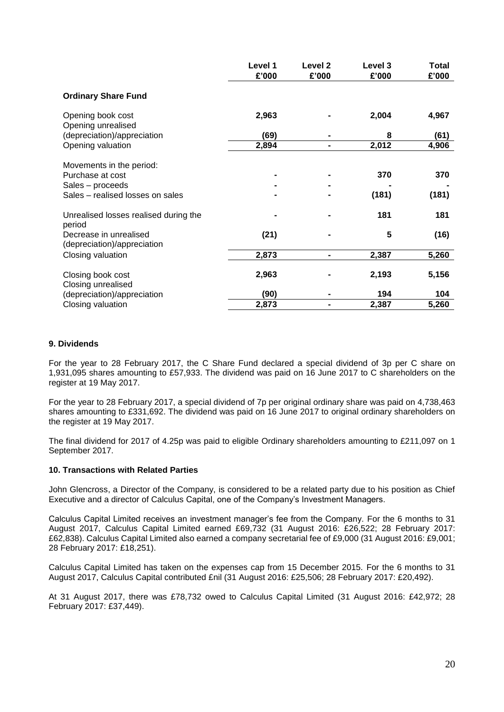|                                                       | Level 1<br>£'000 | Level 2<br>£'000 | Level 3<br>£'000 | <b>Total</b><br>£'000 |
|-------------------------------------------------------|------------------|------------------|------------------|-----------------------|
| <b>Ordinary Share Fund</b>                            |                  |                  |                  |                       |
| Opening book cost<br>Opening unrealised               | 2,963            |                  | 2,004            | 4,967                 |
| (depreciation)/appreciation                           | (69)             |                  | 8                | (61)                  |
| Opening valuation                                     | 2,894            | -                | 2,012            | 4,906                 |
| Movements in the period:                              |                  |                  |                  |                       |
| Purchase at cost                                      |                  |                  | 370              | 370                   |
| Sales - proceeds                                      |                  |                  |                  |                       |
| Sales - realised losses on sales                      |                  |                  | (181)            | (181)                 |
| Unrealised losses realised during the<br>period       |                  |                  | 181              | 181                   |
| Decrease in unrealised<br>(depreciation)/appreciation | (21)             |                  | 5                | (16)                  |
| Closing valuation                                     | 2,873            |                  | 2,387            | 5,260                 |
| Closing book cost<br>Closing unrealised               | 2,963            |                  | 2,193            | 5,156                 |
| (depreciation)/appreciation                           | (90)             |                  | 194              | 104                   |
| Closing valuation                                     | 2,873            |                  | 2,387            | 5,260                 |

#### **9. Dividends**

For the year to 28 February 2017, the C Share Fund declared a special dividend of 3p per C share on 1,931,095 shares amounting to £57,933. The dividend was paid on 16 June 2017 to C shareholders on the register at 19 May 2017.

For the year to 28 February 2017, a special dividend of 7p per original ordinary share was paid on 4,738,463 shares amounting to £331,692. The dividend was paid on 16 June 2017 to original ordinary shareholders on the register at 19 May 2017.

The final dividend for 2017 of 4.25p was paid to eligible Ordinary shareholders amounting to £211,097 on 1 September 2017.

#### **10. Transactions with Related Parties**

John Glencross, a Director of the Company, is considered to be a related party due to his position as Chief Executive and a director of Calculus Capital, one of the Company's Investment Managers.

Calculus Capital Limited receives an investment manager's fee from the Company. For the 6 months to 31 August 2017, Calculus Capital Limited earned £69,732 (31 August 2016: £26,522; 28 February 2017: £62,838). Calculus Capital Limited also earned a company secretarial fee of £9,000 (31 August 2016: £9,001; 28 February 2017: £18,251).

Calculus Capital Limited has taken on the expenses cap from 15 December 2015. For the 6 months to 31 August 2017, Calculus Capital contributed £nil (31 August 2016: £25,506; 28 February 2017: £20,492).

At 31 August 2017, there was £78,732 owed to Calculus Capital Limited (31 August 2016: £42,972; 28 February 2017: £37,449).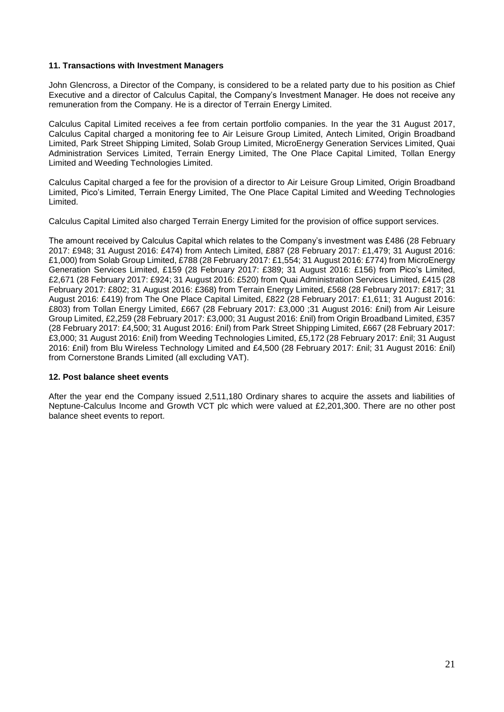### **11. Transactions with Investment Managers**

John Glencross, a Director of the Company, is considered to be a related party due to his position as Chief Executive and a director of Calculus Capital, the Company's Investment Manager. He does not receive any remuneration from the Company. He is a director of Terrain Energy Limited.

Calculus Capital Limited receives a fee from certain portfolio companies. In the year the 31 August 2017, Calculus Capital charged a monitoring fee to Air Leisure Group Limited, Antech Limited, Origin Broadband Limited, Park Street Shipping Limited, Solab Group Limited, MicroEnergy Generation Services Limited, Quai Administration Services Limited, Terrain Energy Limited, The One Place Capital Limited, Tollan Energy Limited and Weeding Technologies Limited.

Calculus Capital charged a fee for the provision of a director to Air Leisure Group Limited, Origin Broadband Limited, Pico's Limited, Terrain Energy Limited, The One Place Capital Limited and Weeding Technologies Limited.

Calculus Capital Limited also charged Terrain Energy Limited for the provision of office support services.

The amount received by Calculus Capital which relates to the Company's investment was £486 (28 February 2017: £948; 31 August 2016: £474) from Antech Limited, £887 (28 February 2017: £1,479; 31 August 2016: £1,000) from Solab Group Limited, £788 (28 February 2017: £1,554; 31 August 2016: £774) from MicroEnergy Generation Services Limited, £159 (28 February 2017: £389; 31 August 2016: £156) from Pico's Limited, £2,671 (28 February 2017: £924; 31 August 2016: £520) from Quai Administration Services Limited, £415 (28 February 2017: £802; 31 August 2016: £368) from Terrain Energy Limited, £568 (28 February 2017: £817; 31 August 2016: £419) from The One Place Capital Limited, £822 (28 February 2017: £1,611; 31 August 2016: £803) from Tollan Energy Limited, £667 (28 February 2017: £3,000 ;31 August 2016: £nil) from Air Leisure Group Limited, £2,259 (28 February 2017: £3,000; 31 August 2016: £nil) from Origin Broadband Limited, £357 (28 February 2017: £4,500; 31 August 2016: £nil) from Park Street Shipping Limited, £667 (28 February 2017: £3,000; 31 August 2016: £nil) from Weeding Technologies Limited, £5,172 (28 February 2017: £nil; 31 August 2016: £nil) from Blu Wireless Technology Limited and £4,500 (28 February 2017: £nil; 31 August 2016: £nil) from Cornerstone Brands Limited (all excluding VAT).

#### **12. Post balance sheet events**

After the year end the Company issued 2,511,180 Ordinary shares to acquire the assets and liabilities of Neptune-Calculus Income and Growth VCT plc which were valued at £2,201,300. There are no other post balance sheet events to report.